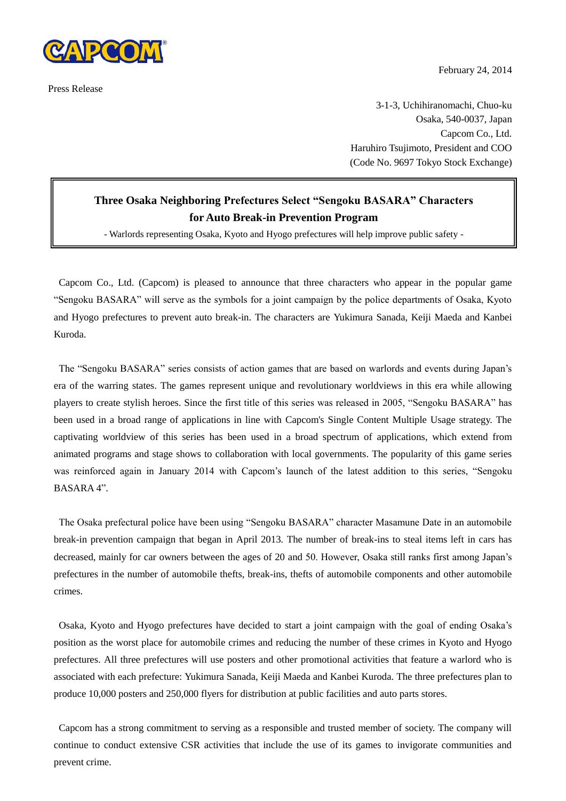

Press Release

February 24, 2014

3-1-3, Uchihiranomachi, Chuo-ku Osaka, 540-0037, Japan Capcom Co., Ltd. Haruhiro Tsujimoto, President and COO (Code No. 9697 Tokyo Stock Exchange)

## **Three Osaka Neighboring Prefectures Select "Sengoku BASARA" Characters for Auto Break-in Prevention Program**

- Warlords representing Osaka, Kyoto and Hyogo prefectures will help improve public safety -

Capcom Co., Ltd. (Capcom) is pleased to announce that three characters who appear in the popular game "Sengoku BASARA" will serve as the symbols for a joint campaign by the police departments of Osaka, Kyoto and Hyogo prefectures to prevent auto break-in. The characters are Yukimura Sanada, Keiji Maeda and Kanbei Kuroda.

The "Sengoku BASARA" series consists of action games that are based on warlords and events during Japan's era of the warring states. The games represent unique and revolutionary worldviews in this era while allowing players to create stylish heroes. Since the first title of this series was released in 2005, "Sengoku BASARA" has been used in a broad range of applications in line with Capcom's Single Content Multiple Usage strategy. The captivating worldview of this series has been used in a broad spectrum of applications, which extend from animated programs and stage shows to collaboration with local governments. The popularity of this game series was reinforced again in January 2014 with Capcom's launch of the latest addition to this series, "Sengoku BASARA 4".

The Osaka prefectural police have been using "Sengoku BASARA" character Masamune Date in an automobile break-in prevention campaign that began in April 2013. The number of break-ins to steal items left in cars has decreased, mainly for car owners between the ages of 20 and 50. However, Osaka still ranks first among Japan's prefectures in the number of automobile thefts, break-ins, thefts of automobile components and other automobile crimes.

Osaka, Kyoto and Hyogo prefectures have decided to start a joint campaign with the goal of ending Osaka's position as the worst place for automobile crimes and reducing the number of these crimes in Kyoto and Hyogo prefectures. All three prefectures will use posters and other promotional activities that feature a warlord who is associated with each prefecture: Yukimura Sanada, Keiji Maeda and Kanbei Kuroda. The three prefectures plan to produce 10,000 posters and 250,000 flyers for distribution at public facilities and auto parts stores.

Capcom has a strong commitment to serving as a responsible and trusted member of society. The company will continue to conduct extensive CSR activities that include the use of its games to invigorate communities and prevent crime.